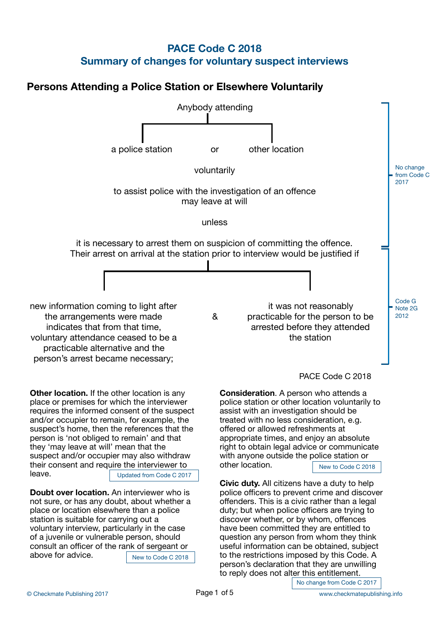# **PACE Code C 2018 Summary of changes for voluntary suspect interviews**

# **Persons Attending a Police Station or Elsewhere Voluntarily**



No change from Code C 2017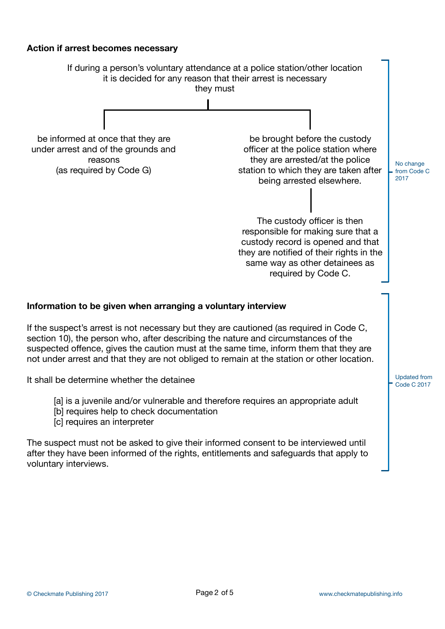# **Action if arrest becomes necessary**

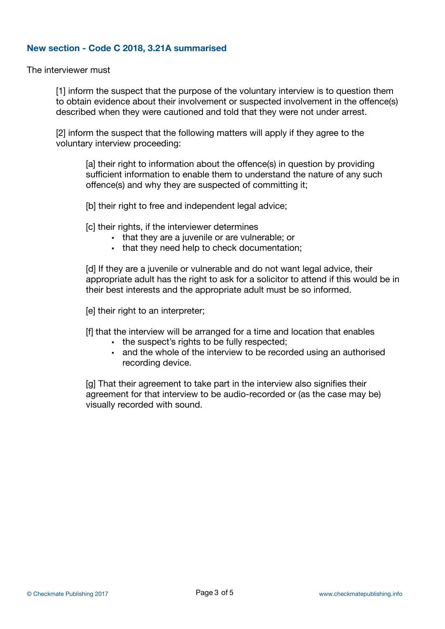# **New section - Code C 2018, 3.21A summarised**

The interviewer must

[1] inform the suspect that the purpose of the voluntary interview is to question them to obtain evidence about their involvement or suspected involvement in the offence(s) described when they were cautioned and told that they were not under arrest.

[2] inform the suspect that the following matters will apply if they agree to the voluntary interview proceeding:

[a] their right to information about the offence(s) in question by providing sufficient information to enable them to understand the nature of any such offence(s) and why they are suspected of committing it;

[b] their right to free and independent legal advice;

[c] their rights, if the interviewer determines

- that they are a juvenile or are vulnerable; or
- that they need help to check documentation;

[d] If they are a juvenile or vulnerable and do not want legal advice, their appropriate adult has the right to ask for a solicitor to attend if this would be in their best interests and the appropriate adult must be so informed.

[e] their right to an interpreter;

[f] that the interview will be arranged for a time and location that enables

- the suspect's rights to be fully respected;
- and the whole of the interview to be recorded using an authorised recording device.

[g] That their agreement to take part in the interview also signifies their agreement for that interview to be audio-recorded or (as the case may be) visually recorded with sound.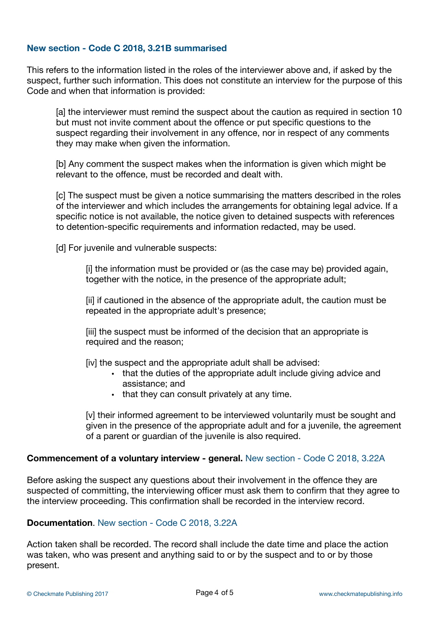# **New section - Code C 2018, 3.21B summarised**

This refers to the information listed in the roles of the interviewer above and, if asked by the suspect, further such information. This does not constitute an interview for the purpose of this Code and when that information is provided:

[a] the interviewer must remind the suspect about the caution as required in section 10 but must not invite comment about the offence or put specific questions to the suspect regarding their involvement in any offence, nor in respect of any comments they may make when given the information.

[b] Any comment the suspect makes when the information is given which might be relevant to the offence, must be recorded and dealt with.

[c] The suspect must be given a notice summarising the matters described in the roles of the interviewer and which includes the arrangements for obtaining legal advice. If a specific notice is not available, the notice given to detained suspects with references to detention-specific requirements and information redacted, may be used.

[d] For juvenile and vulnerable suspects:

[i] the information must be provided or (as the case may be) provided again, together with the notice, in the presence of the appropriate adult;

[ii] if cautioned in the absence of the appropriate adult, the caution must be repeated in the appropriate adult's presence;

[iii] the suspect must be informed of the decision that an appropriate is required and the reason;

[iv] the suspect and the appropriate adult shall be advised:

- that the duties of the appropriate adult include giving advice and assistance; and
- that they can consult privately at any time.

[v] their informed agreement to be interviewed voluntarily must be sought and given in the presence of the appropriate adult and for a juvenile, the agreement of a parent or guardian of the juvenile is also required.

### **Commencement of a voluntary interview - general.** New section - Code C 2018, 3.22A

Before asking the suspect any questions about their involvement in the offence they are suspected of committing, the interviewing officer must ask them to confirm that they agree to the interview proceeding. This confirmation shall be recorded in the interview record.

### **Documentation**. New section - Code C 2018, 3.22A

Action taken shall be recorded. The record shall include the date time and place the action was taken, who was present and anything said to or by the suspect and to or by those present.